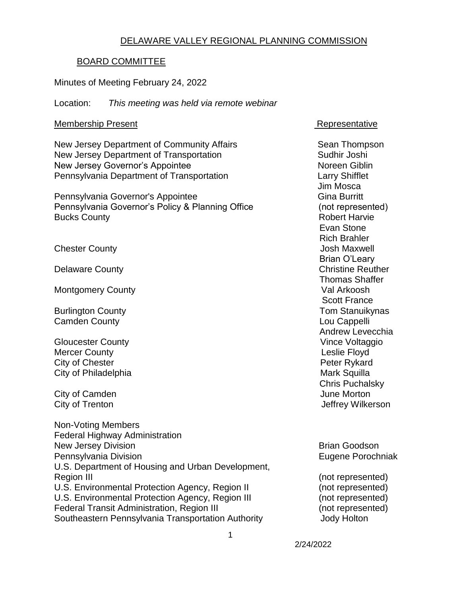## DELAWARE VALLEY REGIONAL PLANNING COMMISSION

## BOARD COMMITTEE

Minutes of Meeting February 24, 2022

Location: *This meeting was held via remote webinar*

## Membership Present **Representative** Representative

New Jersey Department of Community Affairs **Sean Thompson** New Jersey Department of Transportation Sudhir Joshi New Jersey Governor's Appointee North Control of Noreen Giblin Pennsylvania Department of Transportation Larry Shifflet

Pennsylvania Governor's Appointee Gina Burritt Gina Burritt Pennsylvania Governor's Policy & Planning Office (not represented) Bucks County **Bucks** County **Robert Harvie Robert Harvie** 

**Chester County Chester County Chester County Josh Maxwell** 

Montgomery County

**Camden County Cambridge Cambridge Cambridge Cappelli** 

**Gloucester County** Mercer County **County County County County County County County County County County County County County County County County County County County County County County County** City of Chester **Peter Rykard** City of Philadelphia **Mark Squilla** Mark Squilla

City of Camden **June Morton** 

Non-Voting Members Federal Highway Administration New Jersey Division **Brian Goodson** Brian Goodson Pennsylvania Division **Eugene Porochniak** U.S. Department of Housing and Urban Development, Region III (not represented) U.S. Environmental Protection Agency, Region II (not represented) U.S. Environmental Protection Agency, Region III (not represented) Federal Transit Administration, Region III (not represented) Southeastern Pennsylvania Transportation Authority **Southeastern Pennsylvania Transportation** Authority

 Jim Mosca Evan Stone Rich Brahler Brian O'Leary Delaware County **Christian County** Christian Christian Christian Christian Christian Christian Christian Christian Christian Christian Christian Christian Christian Christian Christian Christian Christian Christian Christi Thomas Shaffer<br>Val Arkoosh Scott France Burlington County **No. 2018** Standard Engine Tom Standard Tom Standard Tom Standard Tom Standard Tom Standard Tom Standard Tom Standard Tom Standard Tom Standard Tom Standard Tom Standard Tom Standard Tom Standard Tom Stan Andrew Levecchia<br>Vince Voltaggio Chris Puchalsky City of Trenton **City of Trenton** Jeffrey Wilkerson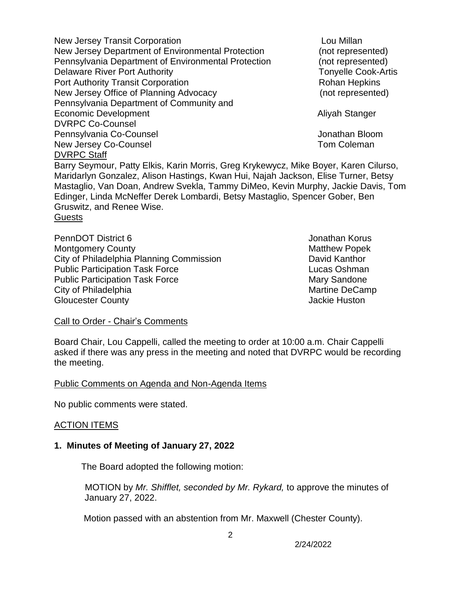New Jersey Transit Corporation **Lou Millan** Lou Millan New Jersey Department of Environmental Protection (not represented) Pennsylvania Department of Environmental Protection (not represented) Delaware River Port Authority **Tonyelle Cook-Artis Tonyelle Cook-Artis** Port Authority Transit Corporation **Rohan Hepkins** Rohan Hepkins New Jersey Office of Planning Advocacy (not represented) Pennsylvania Department of Community and Economic Development **Aliyah Stanger** Aliyah Stanger DVRPC Co-Counsel Pennsylvania Co-Counsel **Voltage Community** Pennsylvania Co-Counsel New Jersey Co-Counsel **New Jersey Co-Counsel** DVRPC Staff Barry Seymour, Patty Elkis, Karin Morris, Greg Krykewycz, Mike Boyer, Karen Cilurso, Maridarlyn Gonzalez, Alison Hastings, Kwan Hui, Najah Jackson, Elise Turner, Betsy Mastaglio, Van Doan, Andrew Svekla, Tammy DiMeo, Kevin Murphy, Jackie Davis, Tom Edinger, Linda McNeffer Derek Lombardi, Betsy Mastaglio, Spencer Gober, Ben Gruswitz, and Renee Wise. **Guests** 

PennDOT District 6 **Jonathan Korus** Jonathan Korus Montgomery County **Matthew Popek** Matthew Popek City of Philadelphia Planning Commission David Kanthor Public Participation Task Force Lucas Oshman Public Participation Task Force Mary Sandone City of Philadelphia Martine DeCamp Gloucester County **County Gloucester County Jackie Huston** 

### Call to Order - Chair's Comments

Board Chair, Lou Cappelli, called the meeting to order at 10:00 a.m. Chair Cappelli asked if there was any press in the meeting and noted that DVRPC would be recording the meeting.

Public Comments on Agenda and Non-Agenda Items

No public comments were stated.

### ACTION ITEMS

### **1. Minutes of Meeting of January 27, 2022**

The Board adopted the following motion:

 MOTION by *Mr. Shifflet, seconded by Mr. Rykard,* to approve the minutes of January 27, 2022.

Motion passed with an abstention from Mr. Maxwell (Chester County).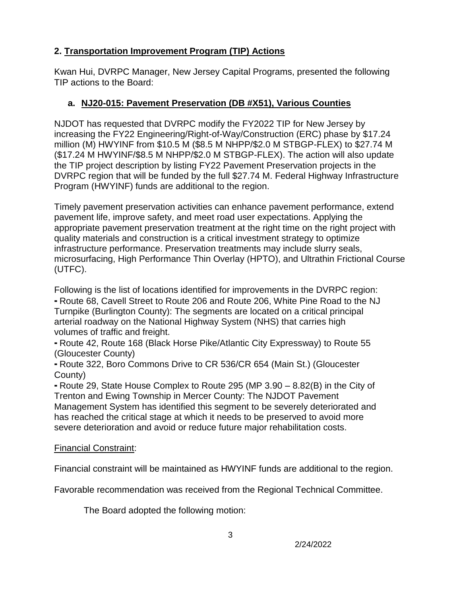# **2. Transportation Improvement Program (TIP) Actions**

Kwan Hui, DVRPC Manager, New Jersey Capital Programs, presented the following TIP actions to the Board:

# **a. NJ20-015: Pavement Preservation (DB #X51), Various Counties**

NJDOT has requested that DVRPC modify the FY2022 TIP for New Jersey by increasing the FY22 Engineering/Right-of-Way/Construction (ERC) phase by \$17.24 million (M) HWYINF from \$10.5 M (\$8.5 M NHPP/\$2.0 M STBGP-FLEX) to \$27.74 M (\$17.24 M HWYINF/\$8.5 M NHPP/\$2.0 M STBGP-FLEX). The action will also update the TIP project description by listing FY22 Pavement Preservation projects in the DVRPC region that will be funded by the full \$27.74 M. Federal Highway Infrastructure Program (HWYINF) funds are additional to the region.

Timely pavement preservation activities can enhance pavement performance, extend pavement life, improve safety, and meet road user expectations. Applying the appropriate pavement preservation treatment at the right time on the right project with quality materials and construction is a critical investment strategy to optimize infrastructure performance. Preservation treatments may include slurry seals, microsurfacing, High Performance Thin Overlay (HPTO), and Ultrathin Frictional Course (UTFC).

Following is the list of locations identified for improvements in the DVRPC region:

⁃ Route 68, Cavell Street to Route 206 and Route 206, White Pine Road to the NJ Turnpike (Burlington County): The segments are located on a critical principal arterial roadway on the National Highway System (NHS) that carries high volumes of traffic and freight.

⁃ Route 42, Route 168 (Black Horse Pike/Atlantic City Expressway) to Route 55 (Gloucester County)

⁃ Route 322, Boro Commons Drive to CR 536/CR 654 (Main St.) (Gloucester County)

⁃ Route 29, State House Complex to Route 295 (MP 3.90 – 8.82(B) in the City of Trenton and Ewing Township in Mercer County: The NJDOT Pavement Management System has identified this segment to be severely deteriorated and has reached the critical stage at which it needs to be preserved to avoid more severe deterioration and avoid or reduce future major rehabilitation costs.

# Financial Constraint:

Financial constraint will be maintained as HWYINF funds are additional to the region.

Favorable recommendation was received from the Regional Technical Committee.

The Board adopted the following motion: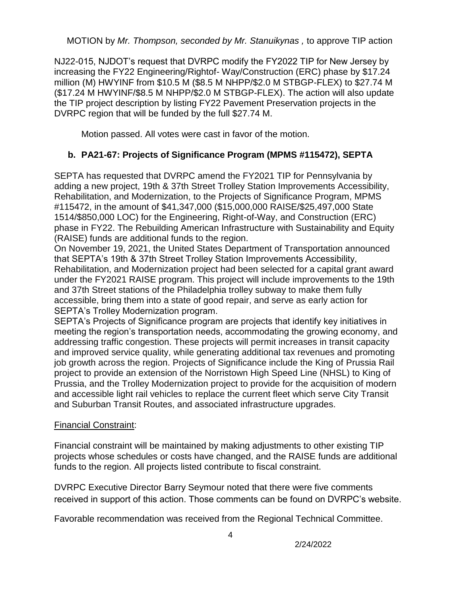MOTION by *Mr. Thompson, seconded by Mr. Stanuikynas ,* to approve TIP action

NJ22-015, NJDOT's request that DVRPC modify the FY2022 TIP for New Jersey by increasing the FY22 Engineering/Rightof- Way/Construction (ERC) phase by \$17.24 million (M) HWYINF from \$10.5 M (\$8.5 M NHPP/\$2.0 M STBGP-FLEX) to \$27.74 M (\$17.24 M HWYINF/\$8.5 M NHPP/\$2.0 M STBGP-FLEX). The action will also update the TIP project description by listing FY22 Pavement Preservation projects in the DVRPC region that will be funded by the full \$27.74 M.

Motion passed. All votes were cast in favor of the motion.

# **b. PA21-67: Projects of Significance Program (MPMS #115472), SEPTA**

SEPTA has requested that DVRPC amend the FY2021 TIP for Pennsylvania by adding a new project, 19th & 37th Street Trolley Station Improvements Accessibility, Rehabilitation, and Modernization, to the Projects of Significance Program, MPMS #115472, in the amount of \$41,347,000 (\$15,000,000 RAISE/\$25,497,000 State 1514/\$850,000 LOC) for the Engineering, Right-of-Way, and Construction (ERC) phase in FY22. The Rebuilding American Infrastructure with Sustainability and Equity (RAISE) funds are additional funds to the region.

On November 19, 2021, the United States Department of Transportation announced that SEPTA's 19th & 37th Street Trolley Station Improvements Accessibility, Rehabilitation, and Modernization project had been selected for a capital grant award under the FY2021 RAISE program. This project will include improvements to the 19th and 37th Street stations of the Philadelphia trolley subway to make them fully accessible, bring them into a state of good repair, and serve as early action for SEPTA's Trolley Modernization program.

SEPTA's Projects of Significance program are projects that identify key initiatives in meeting the region's transportation needs, accommodating the growing economy, and addressing traffic congestion. These projects will permit increases in transit capacity and improved service quality, while generating additional tax revenues and promoting job growth across the region. Projects of Significance include the King of Prussia Rail project to provide an extension of the Norristown High Speed Line (NHSL) to King of Prussia, and the Trolley Modernization project to provide for the acquisition of modern and accessible light rail vehicles to replace the current fleet which serve City Transit and Suburban Transit Routes, and associated infrastructure upgrades.

## Financial Constraint:

Financial constraint will be maintained by making adjustments to other existing TIP projects whose schedules or costs have changed, and the RAISE funds are additional funds to the region. All projects listed contribute to fiscal constraint.

DVRPC Executive Director Barry Seymour noted that there were five comments received in support of this action. Those comments can be found on DVRPC's website.

Favorable recommendation was received from the Regional Technical Committee.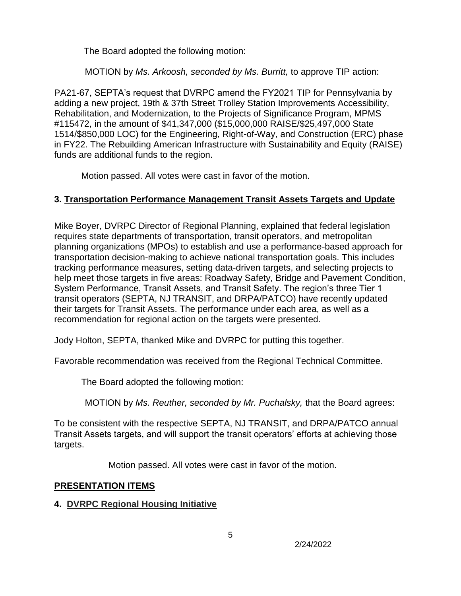The Board adopted the following motion:

MOTION by *Ms. Arkoosh, seconded by Ms. Burritt,* to approve TIP action:

PA21-67, SEPTA's request that DVRPC amend the FY2021 TIP for Pennsylvania by adding a new project, 19th & 37th Street Trolley Station Improvements Accessibility, Rehabilitation, and Modernization, to the Projects of Significance Program, MPMS #115472, in the amount of \$41,347,000 (\$15,000,000 RAISE/\$25,497,000 State 1514/\$850,000 LOC) for the Engineering, Right-of-Way, and Construction (ERC) phase in FY22. The Rebuilding American Infrastructure with Sustainability and Equity (RAISE) funds are additional funds to the region.

Motion passed. All votes were cast in favor of the motion.

# **3. Transportation Performance Management Transit Assets Targets and Update**

Mike Boyer, DVRPC Director of Regional Planning, explained that federal legislation requires state departments of transportation, transit operators, and metropolitan planning organizations (MPOs) to establish and use a performance-based approach for transportation decision-making to achieve national transportation goals. This includes tracking performance measures, setting data-driven targets, and selecting projects to help meet those targets in five areas: Roadway Safety, Bridge and Pavement Condition, System Performance, Transit Assets, and Transit Safety. The region's three Tier 1 transit operators (SEPTA, NJ TRANSIT, and DRPA/PATCO) have recently updated their targets for Transit Assets. The performance under each area, as well as a recommendation for regional action on the targets were presented.

Jody Holton, SEPTA, thanked Mike and DVRPC for putting this together.

Favorable recommendation was received from the Regional Technical Committee.

The Board adopted the following motion:

MOTION by *Ms. Reuther, seconded by Mr. Puchalsky,* that the Board agrees:

To be consistent with the respective SEPTA, NJ TRANSIT, and DRPA/PATCO annual Transit Assets targets, and will support the transit operators' efforts at achieving those targets.

Motion passed. All votes were cast in favor of the motion.

# **PRESENTATION ITEMS**

# **4. DVRPC Regional Housing Initiative**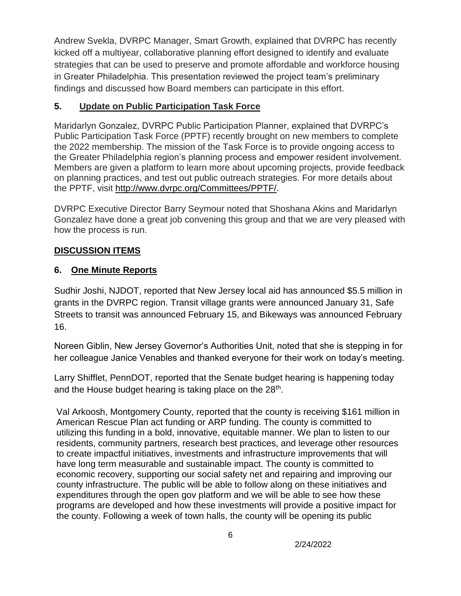Andrew Svekla, DVRPC Manager, Smart Growth, explained that DVRPC has recently kicked off a multiyear, collaborative planning effort designed to identify and evaluate strategies that can be used to preserve and promote affordable and workforce housing in Greater Philadelphia. This presentation reviewed the project team's preliminary findings and discussed how Board members can participate in this effort.

# **5. Update on Public Participation Task Force**

Maridarlyn Gonzalez, DVRPC Public Participation Planner, explained that DVRPC's Public Participation Task Force (PPTF) recently brought on new members to complete the 2022 membership. The mission of the Task Force is to provide ongoing access to the Greater Philadelphia region's planning process and empower resident involvement. Members are given a platform to learn more about upcoming projects, provide feedback on planning practices, and test out public outreach strategies. For more details about the PPTF, visit [http://www.dvrpc.org/Committees/PPTF/.](http://www.dvrpc.org/Committees/PPTF/)

DVRPC Executive Director Barry Seymour noted that Shoshana Akins and Maridarlyn Gonzalez have done a great job convening this group and that we are very pleased with how the process is run.

# **DISCUSSION ITEMS**

# **6. One Minute Reports**

Sudhir Joshi, NJDOT, reported that New Jersey local aid has announced \$5.5 million in grants in the DVRPC region. Transit village grants were announced January 31, Safe Streets to transit was announced February 15, and Bikeways was announced February 16.

Noreen Giblin, New Jersey Governor's Authorities Unit, noted that she is stepping in for her colleague Janice Venables and thanked everyone for their work on today's meeting.

Larry Shifflet, PennDOT, reported that the Senate budget hearing is happening today and the House budget hearing is taking place on the  $28<sup>th</sup>$ .

Val Arkoosh, Montgomery County, reported that the county is receiving \$161 million in American Rescue Plan act funding or ARP funding. The county is committed to utilizing this funding in a bold, innovative, equitable manner. We plan to listen to our residents, community partners, research best practices, and leverage other resources to create impactful initiatives, investments and infrastructure improvements that will have long term measurable and sustainable impact. The county is committed to economic recovery, supporting our social safety net and repairing and improving our county infrastructure. The public will be able to follow along on these initiatives and expenditures through the open gov platform and we will be able to see how these programs are developed and how these investments will provide a positive impact for the county. Following a week of town halls, the county will be opening its public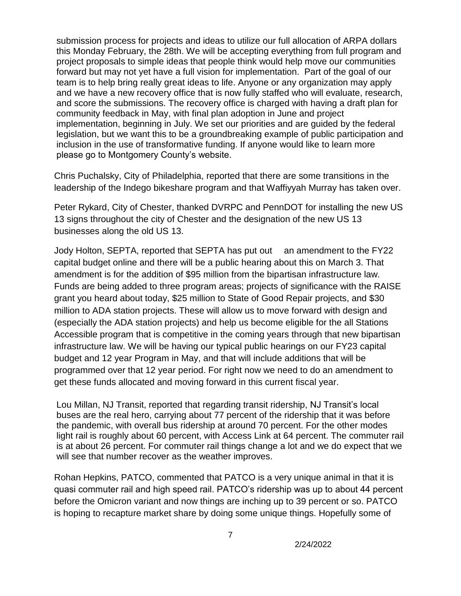submission process for projects and ideas to utilize our full allocation of ARPA dollars this Monday February, the 28th. We will be accepting everything from full program and project proposals to simple ideas that people think would help move our communities forward but may not yet have a full vision for implementation. Part of the goal of our team is to help bring really great ideas to life. Anyone or any organization may apply and we have a new recovery office that is now fully staffed who will evaluate, research, and score the submissions. The recovery office is charged with having a draft plan for community feedback in May, with final plan adoption in June and project implementation, beginning in July. We set our priorities and are guided by the federal legislation, but we want this to be a groundbreaking example of public participation and inclusion in the use of transformative funding. If anyone would like to learn more please go to Montgomery County's website.

Chris Puchalsky, City of Philadelphia, reported that there are some transitions in the leadership of the Indego bikeshare program and that Waffiyyah Murray has taken over.

Peter Rykard, City of Chester, thanked DVRPC and PennDOT for installing the new US 13 signs throughout the city of Chester and the designation of the new US 13 businesses along the old US 13.

Jody Holton, SEPTA, reported that SEPTA has put out an amendment to the FY22 capital budget online and there will be a public hearing about this on March 3. That amendment is for the addition of \$95 million from the bipartisan infrastructure law. Funds are being added to three program areas; projects of significance with the RAISE grant you heard about today, \$25 million to State of Good Repair projects, and \$30 million to ADA station projects. These will allow us to move forward with design and (especially the ADA station projects) and help us become eligible for the all Stations Accessible program that is competitive in the coming years through that new bipartisan infrastructure law. We will be having our typical public hearings on our FY23 capital budget and 12 year Program in May, and that will include additions that will be programmed over that 12 year period. For right now we need to do an amendment to get these funds allocated and moving forward in this current fiscal year.

Lou Millan, NJ Transit, reported that regarding transit ridership, NJ Transit's local buses are the real hero, carrying about 77 percent of the ridership that it was before the pandemic, with overall bus ridership at around 70 percent. For the other modes light rail is roughly about 60 percent, with Access Link at 64 percent. The commuter rail is at about 26 percent. For commuter rail things change a lot and we do expect that we will see that number recover as the weather improves.

Rohan Hepkins, PATCO, commented that PATCO is a very unique animal in that it is quasi commuter rail and high speed rail. PATCO's ridership was up to about 44 percent before the Omicron variant and now things are inching up to 39 percent or so. PATCO is hoping to recapture market share by doing some unique things. Hopefully some of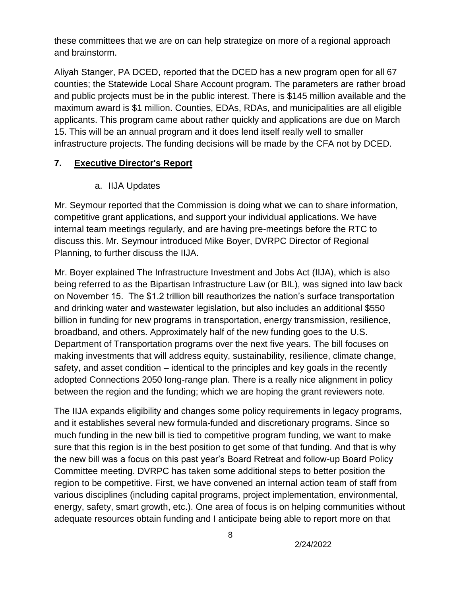these committees that we are on can help strategize on more of a regional approach and brainstorm.

Aliyah Stanger, PA DCED, reported that the DCED has a new program open for all 67 counties; the Statewide Local Share Account program. The parameters are rather broad and public projects must be in the public interest. There is \$145 million available and the maximum award is \$1 million. Counties, EDAs, RDAs, and municipalities are all eligible applicants. This program came about rather quickly and applications are due on March 15. This will be an annual program and it does lend itself really well to smaller infrastructure projects. The funding decisions will be made by the CFA not by DCED.

## **7. Executive Director's Report**

## a. IIJA Updates

Mr. Seymour reported that the Commission is doing what we can to share information, competitive grant applications, and support your individual applications. We have internal team meetings regularly, and are having pre-meetings before the RTC to discuss this. Mr. Seymour introduced Mike Boyer, DVRPC Director of Regional Planning, to further discuss the IIJA.

Mr. Boyer explained The Infrastructure Investment and Jobs Act (IIJA), which is also being referred to as the Bipartisan Infrastructure Law (or BIL), was signed into law back on November 15. The \$1.2 trillion bill reauthorizes the nation's surface transportation and drinking water and wastewater legislation, but also includes an additional \$550 billion in funding for new programs in transportation, energy transmission, resilience, broadband, and others. Approximately half of the new funding goes to the U.S. Department of Transportation programs over the next five years. The bill focuses on making investments that will address equity, sustainability, resilience, climate change, safety, and asset condition – identical to the principles and key goals in the recently adopted Connections 2050 long-range plan. There is a really nice alignment in policy between the region and the funding; which we are hoping the grant reviewers note.

The IIJA expands eligibility and changes some policy requirements in legacy programs, and it establishes several new formula-funded and discretionary programs. Since so much funding in the new bill is tied to competitive program funding, we want to make sure that this region is in the best position to get some of that funding. And that is why the new bill was a focus on this past year's Board Retreat and follow-up Board Policy Committee meeting. DVRPC has taken some additional steps to better position the region to be competitive. First, we have convened an internal action team of staff from various disciplines (including capital programs, project implementation, environmental, energy, safety, smart growth, etc.). One area of focus is on helping communities without adequate resources obtain funding and I anticipate being able to report more on that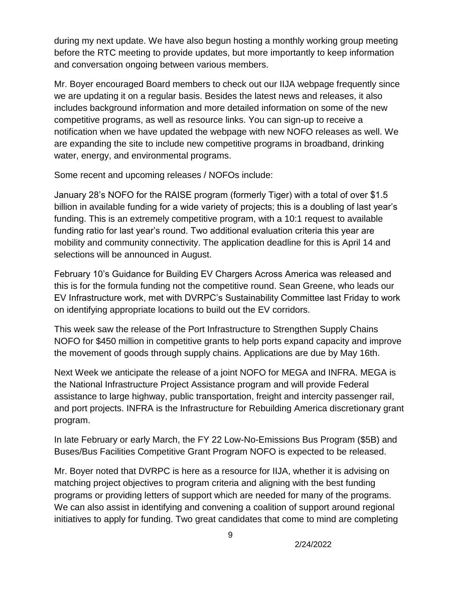during my next update. We have also begun hosting a monthly working group meeting before the RTC meeting to provide updates, but more importantly to keep information and conversation ongoing between various members.

Mr. Boyer encouraged Board members to check out our IIJA webpage frequently since we are updating it on a regular basis. Besides the latest news and releases, it also includes background information and more detailed information on some of the new competitive programs, as well as resource links. You can sign-up to receive a notification when we have updated the webpage with new NOFO releases as well. We are expanding the site to include new competitive programs in broadband, drinking water, energy, and environmental programs.

Some recent and upcoming releases / NOFOs include:

January 28's NOFO for the RAISE program (formerly Tiger) with a total of over \$1.5 billion in available funding for a wide variety of projects; this is a doubling of last year's funding. This is an extremely competitive program, with a 10:1 request to available funding ratio for last year's round. Two additional evaluation criteria this year are mobility and community connectivity. The application deadline for this is April 14 and selections will be announced in August.

February 10's Guidance for Building EV Chargers Across America was released and this is for the formula funding not the competitive round. Sean Greene, who leads our EV Infrastructure work, met with DVRPC's Sustainability Committee last Friday to work on identifying appropriate locations to build out the EV corridors.

This week saw the release of the Port Infrastructure to Strengthen Supply Chains NOFO for \$450 million in competitive grants to help ports expand capacity and improve the movement of goods through supply chains. Applications are due by May 16th.

Next Week we anticipate the release of a joint NOFO for MEGA and INFRA. MEGA is the National Infrastructure Project Assistance program and will provide Federal assistance to large highway, public transportation, freight and intercity passenger rail, and port projects. INFRA is the Infrastructure for Rebuilding America discretionary grant program.

In late February or early March, the FY 22 Low-No-Emissions Bus Program (\$5B) and Buses/Bus Facilities Competitive Grant Program NOFO is expected to be released.

Mr. Boyer noted that DVRPC is here as a resource for IIJA, whether it is advising on matching project objectives to program criteria and aligning with the best funding programs or providing letters of support which are needed for many of the programs. We can also assist in identifying and convening a coalition of support around regional initiatives to apply for funding. Two great candidates that come to mind are completing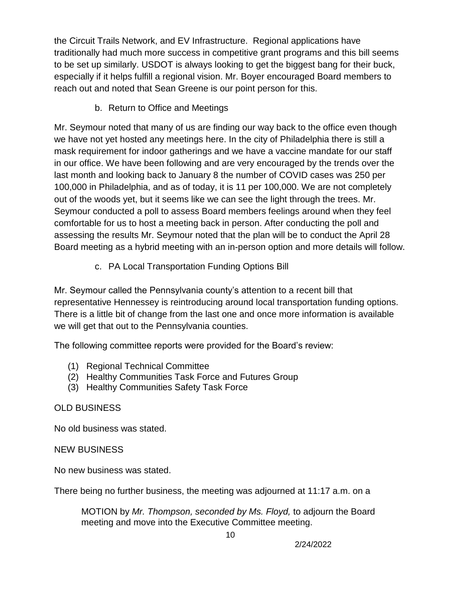the Circuit Trails Network, and EV Infrastructure. Regional applications have traditionally had much more success in competitive grant programs and this bill seems to be set up similarly. USDOT is always looking to get the biggest bang for their buck, especially if it helps fulfill a regional vision. Mr. Boyer encouraged Board members to reach out and noted that Sean Greene is our point person for this.

b. Return to Office and Meetings

Mr. Seymour noted that many of us are finding our way back to the office even though we have not yet hosted any meetings here. In the city of Philadelphia there is still a mask requirement for indoor gatherings and we have a vaccine mandate for our staff in our office. We have been following and are very encouraged by the trends over the last month and looking back to January 8 the number of COVID cases was 250 per 100,000 in Philadelphia, and as of today, it is 11 per 100,000. We are not completely out of the woods yet, but it seems like we can see the light through the trees. Mr. Seymour conducted a poll to assess Board members feelings around when they feel comfortable for us to host a meeting back in person. After conducting the poll and assessing the results Mr. Seymour noted that the plan will be to conduct the April 28 Board meeting as a hybrid meeting with an in-person option and more details will follow.

c. PA Local Transportation Funding Options Bill

Mr. Seymour called the Pennsylvania county's attention to a recent bill that representative Hennessey is reintroducing around local transportation funding options. There is a little bit of change from the last one and once more information is available we will get that out to the Pennsylvania counties.

The following committee reports were provided for the Board's review:

- (1) Regional Technical Committee
- (2) Healthy Communities Task Force and Futures Group
- (3) Healthy Communities Safety Task Force

# OLD BUSINESS

No old business was stated.

NEW BUSINESS

No new business was stated.

There being no further business, the meeting was adjourned at 11:17 a.m. on a

MOTION by *Mr. Thompson, seconded by Ms. Floyd,* to adjourn the Board meeting and move into the Executive Committee meeting.

10